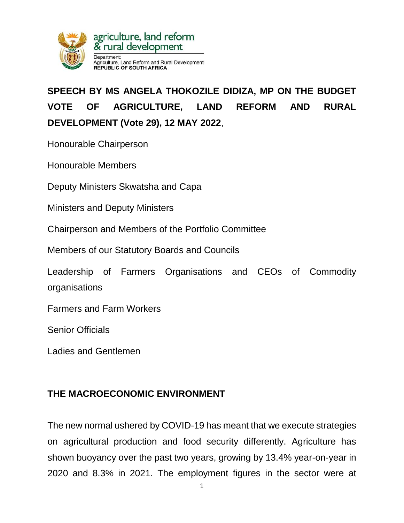

# **SPEECH BY MS ANGELA THOKOZILE DIDIZA, MP ON THE BUDGET VOTE OF AGRICULTURE, LAND REFORM AND RURAL DEVELOPMENT (Vote 29), 12 MAY 2022**,

Honourable Chairperson

Honourable Members

Deputy Ministers Skwatsha and Capa

Ministers and Deputy Ministers

Chairperson and Members of the Portfolio Committee

Members of our Statutory Boards and Councils

Leadership of Farmers Organisations and CEOs of Commodity organisations

Farmers and Farm Workers

Senior Officials

Ladies and Gentlemen

## **THE MACROECONOMIC ENVIRONMENT**

The new normal ushered by COVID-19 has meant that we execute strategies on agricultural production and food security differently. Agriculture has shown buoyancy over the past two years, growing by 13.4% year-on-year in 2020 and 8.3% in 2021. The employment figures in the sector were at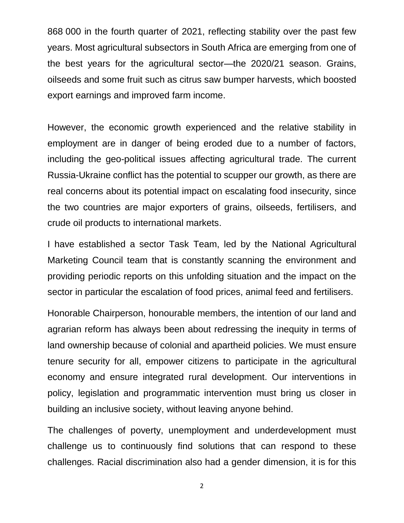868 000 in the fourth quarter of 2021, reflecting stability over the past few years. Most agricultural subsectors in South Africa are emerging from one of the best years for the agricultural sector—the 2020/21 season. Grains, oilseeds and some fruit such as citrus saw bumper harvests, which boosted export earnings and improved farm income.

However, the economic growth experienced and the relative stability in employment are in danger of being eroded due to a number of factors, including the geo-political issues affecting agricultural trade. The current Russia-Ukraine conflict has the potential to scupper our growth, as there are real concerns about its potential impact on escalating food insecurity, since the two countries are major exporters of grains, oilseeds, fertilisers, and crude oil products to international markets.

I have established a sector Task Team, led by the National Agricultural Marketing Council team that is constantly scanning the environment and providing periodic reports on this unfolding situation and the impact on the sector in particular the escalation of food prices, animal feed and fertilisers.

Honorable Chairperson, honourable members, the intention of our land and agrarian reform has always been about redressing the inequity in terms of land ownership because of colonial and apartheid policies. We must ensure tenure security for all, empower citizens to participate in the agricultural economy and ensure integrated rural development. Our interventions in policy, legislation and programmatic intervention must bring us closer in building an inclusive society, without leaving anyone behind.

The challenges of poverty, unemployment and underdevelopment must challenge us to continuously find solutions that can respond to these challenges. Racial discrimination also had a gender dimension, it is for this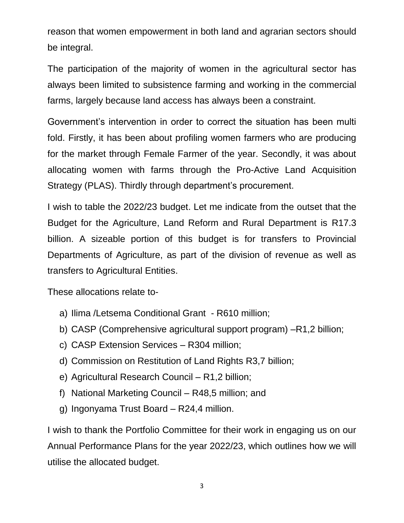reason that women empowerment in both land and agrarian sectors should be integral.

The participation of the majority of women in the agricultural sector has always been limited to subsistence farming and working in the commercial farms, largely because land access has always been a constraint.

Government's intervention in order to correct the situation has been multi fold. Firstly, it has been about profiling women farmers who are producing for the market through Female Farmer of the year. Secondly, it was about allocating women with farms through the Pro-Active Land Acquisition Strategy (PLAS). Thirdly through department's procurement.

I wish to table the 2022/23 budget. Let me indicate from the outset that the Budget for the Agriculture, Land Reform and Rural Department is R17.3 billion. A sizeable portion of this budget is for transfers to Provincial Departments of Agriculture, as part of the division of revenue as well as transfers to Agricultural Entities.

These allocations relate to-

- a) Ilima /Letsema Conditional Grant R610 million;
- b) CASP (Comprehensive agricultural support program) –R1,2 billion;
- c) CASP Extension Services R304 million;
- d) Commission on Restitution of Land Rights R3,7 billion;
- e) Agricultural Research Council R1,2 billion;
- f) National Marketing Council R48,5 million; and
- g) Ingonyama Trust Board R24,4 million.

I wish to thank the Portfolio Committee for their work in engaging us on our Annual Performance Plans for the year 2022/23, which outlines how we will utilise the allocated budget.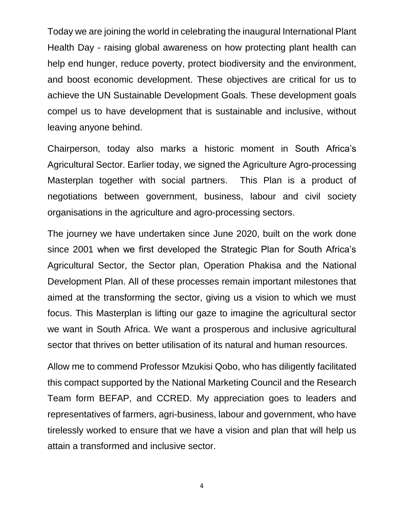Today we are joining the world in celebrating the inaugural International Plant Health Day - raising global awareness on how protecting plant health can help end hunger, reduce poverty, protect biodiversity and the environment, and boost economic development. These objectives are critical for us to achieve the UN Sustainable Development Goals. These development goals compel us to have development that is sustainable and inclusive, without leaving anyone behind.

Chairperson, today also marks a historic moment in South Africa's Agricultural Sector. Earlier today, we signed the Agriculture Agro-processing Masterplan together with social partners. This Plan is a product of negotiations between government, business, labour and civil society organisations in the agriculture and agro-processing sectors.

The journey we have undertaken since June 2020, built on the work done since 2001 when we first developed the Strategic Plan for South Africa's Agricultural Sector, the Sector plan, Operation Phakisa and the National Development Plan. All of these processes remain important milestones that aimed at the transforming the sector, giving us a vision to which we must focus. This Masterplan is lifting our gaze to imagine the agricultural sector we want in South Africa. We want a prosperous and inclusive agricultural sector that thrives on better utilisation of its natural and human resources.

Allow me to commend Professor Mzukisi Qobo, who has diligently facilitated this compact supported by the National Marketing Council and the Research Team form BEFAP, and CCRED. My appreciation goes to leaders and representatives of farmers, agri-business, labour and government, who have tirelessly worked to ensure that we have a vision and plan that will help us attain a transformed and inclusive sector.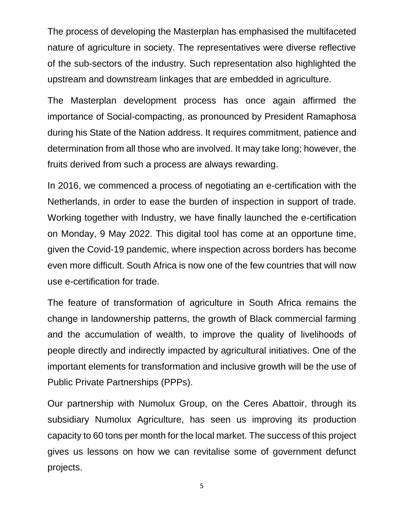The process of developing the Masterplan has emphasised the multifaceted nature of agriculture in society. The representatives were diverse reflective of the sub-sectors of the industry. Such representation also highlighted the upstream and downstream linkages that are embedded in agriculture.

The Masterplan development process has once again affirmed the importance of Social-compacting, as pronounced by President Ramaphosa during his State of the Nation address. It requires commitment, patience and determination from all those who are involved. It may take long; however, the fruits derived from such a process are always rewarding.

In 2016, we commenced a process of negotiating an e-certification with the Netherlands, in order to ease the burden of inspection in support of trade. Working together with Industry, we have finally launched the e-certification on Monday, 9 May 2022. This digital tool has come at an opportune time, given the Covid-19 pandemic, where inspection across borders has become even more difficult. South Africa is now one of the few countries that will now use e-certification for trade.

The feature of transformation of agriculture in South Africa remains the change in landownership patterns, the growth of Black commercial farming and the accumulation of wealth, to improve the quality of livelihoods of people directly and indirectly impacted by agricultural initiatives. One of the important elements for transformation and inclusive growth will be the use of Public Private Partnerships (PPPs).

Our partnership with Numolux Group, on the Ceres Abattoir, through its subsidiary Numolux Agriculture, has seen us improving its production capacity to 60 tons per month for the local market. The success of this project gives us lessons on how we can revitalise some of government defunct projects.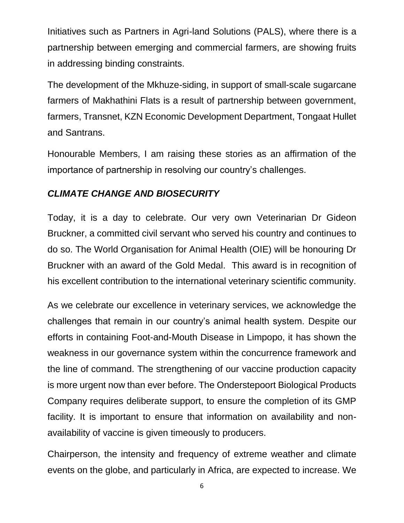Initiatives such as Partners in Agri-land Solutions (PALS), where there is a partnership between emerging and commercial farmers, are showing fruits in addressing binding constraints.

The development of the Mkhuze-siding, in support of small-scale sugarcane farmers of Makhathini Flats is a result of partnership between government, farmers, Transnet, KZN Economic Development Department, Tongaat Hullet and Santrans.

Honourable Members, I am raising these stories as an affirmation of the importance of partnership in resolving our country's challenges.

# *CLIMATE CHANGE AND BIOSECURITY*

Today, it is a day to celebrate. Our very own Veterinarian Dr Gideon Bruckner, a committed civil servant who served his country and continues to do so. The World Organisation for Animal Health (OIE) will be honouring Dr Bruckner with an award of the Gold Medal. This award is in recognition of his excellent contribution to the international veterinary scientific community.

As we celebrate our excellence in veterinary services, we acknowledge the challenges that remain in our country's animal health system. Despite our efforts in containing Foot-and-Mouth Disease in Limpopo, it has shown the weakness in our governance system within the concurrence framework and the line of command. The strengthening of our vaccine production capacity is more urgent now than ever before. The Onderstepoort Biological Products Company requires deliberate support, to ensure the completion of its GMP facility. It is important to ensure that information on availability and nonavailability of vaccine is given timeously to producers.

Chairperson, the intensity and frequency of extreme weather and climate events on the globe, and particularly in Africa, are expected to increase. We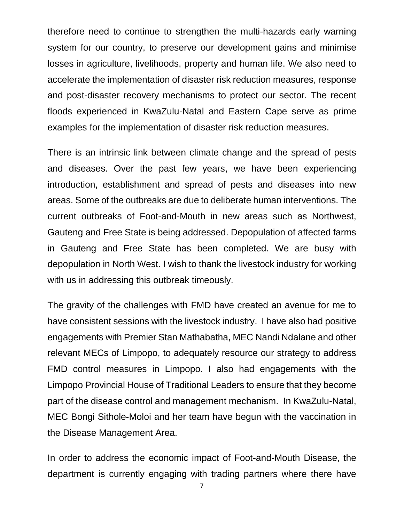therefore need to continue to strengthen the multi-hazards early warning system for our country, to preserve our development gains and minimise losses in agriculture, livelihoods, property and human life. We also need to accelerate the implementation of disaster risk reduction measures, response and post-disaster recovery mechanisms to protect our sector. The recent floods experienced in KwaZulu-Natal and Eastern Cape serve as prime examples for the implementation of disaster risk reduction measures.

There is an intrinsic link between climate change and the spread of pests and diseases. Over the past few years, we have been experiencing introduction, establishment and spread of pests and diseases into new areas. Some of the outbreaks are due to deliberate human interventions. The current outbreaks of Foot-and-Mouth in new areas such as Northwest, Gauteng and Free State is being addressed. Depopulation of affected farms in Gauteng and Free State has been completed. We are busy with depopulation in North West. I wish to thank the livestock industry for working with us in addressing this outbreak timeously.

The gravity of the challenges with FMD have created an avenue for me to have consistent sessions with the livestock industry. I have also had positive engagements with Premier Stan Mathabatha, MEC Nandi Ndalane and other relevant MECs of Limpopo, to adequately resource our strategy to address FMD control measures in Limpopo. I also had engagements with the Limpopo Provincial House of Traditional Leaders to ensure that they become part of the disease control and management mechanism. In KwaZulu-Natal, MEC Bongi Sithole-Moloi and her team have begun with the vaccination in the Disease Management Area.

In order to address the economic impact of Foot-and-Mouth Disease, the department is currently engaging with trading partners where there have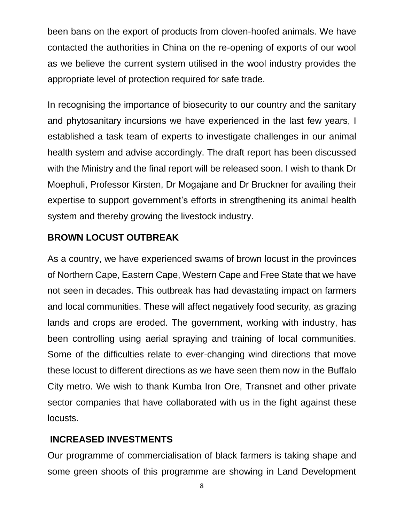been bans on the export of products from cloven-hoofed animals. We have contacted the authorities in China on the re-opening of exports of our wool as we believe the current system utilised in the wool industry provides the appropriate level of protection required for safe trade.

In recognising the importance of biosecurity to our country and the sanitary and phytosanitary incursions we have experienced in the last few years, I established a task team of experts to investigate challenges in our animal health system and advise accordingly. The draft report has been discussed with the Ministry and the final report will be released soon. I wish to thank Dr Moephuli, Professor Kirsten, Dr Mogajane and Dr Bruckner for availing their expertise to support government's efforts in strengthening its animal health system and thereby growing the livestock industry.

# **BROWN LOCUST OUTBREAK**

As a country, we have experienced swams of brown locust in the provinces of Northern Cape, Eastern Cape, Western Cape and Free State that we have not seen in decades. This outbreak has had devastating impact on farmers and local communities. These will affect negatively food security, as grazing lands and crops are eroded. The government, working with industry, has been controlling using aerial spraying and training of local communities. Some of the difficulties relate to ever-changing wind directions that move these locust to different directions as we have seen them now in the Buffalo City metro. We wish to thank Kumba Iron Ore, Transnet and other private sector companies that have collaborated with us in the fight against these locusts.

# **INCREASED INVESTMENTS**

Our programme of commercialisation of black farmers is taking shape and some green shoots of this programme are showing in Land Development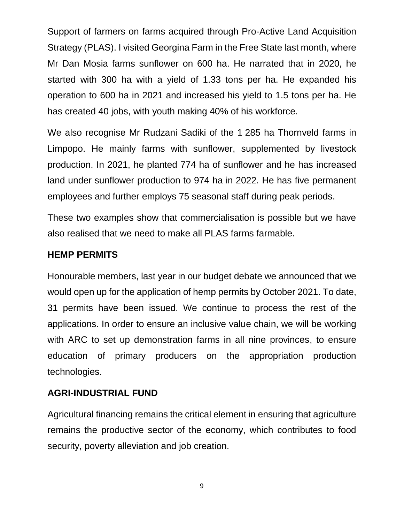Support of farmers on farms acquired through Pro-Active Land Acquisition Strategy (PLAS). I visited Georgina Farm in the Free State last month, where Mr Dan Mosia farms sunflower on 600 ha. He narrated that in 2020, he started with 300 ha with a yield of 1.33 tons per ha. He expanded his operation to 600 ha in 2021 and increased his yield to 1.5 tons per ha. He has created 40 jobs, with youth making 40% of his workforce.

We also recognise Mr Rudzani Sadiki of the 1 285 ha Thornveld farms in Limpopo. He mainly farms with sunflower, supplemented by livestock production. In 2021, he planted 774 ha of sunflower and he has increased land under sunflower production to 974 ha in 2022. He has five permanent employees and further employs 75 seasonal staff during peak periods.

These two examples show that commercialisation is possible but we have also realised that we need to make all PLAS farms farmable.

#### **HEMP PERMITS**

Honourable members, last year in our budget debate we announced that we would open up for the application of hemp permits by October 2021. To date, 31 permits have been issued. We continue to process the rest of the applications. In order to ensure an inclusive value chain, we will be working with ARC to set up demonstration farms in all nine provinces, to ensure education of primary producers on the appropriation production technologies.

#### **AGRI-INDUSTRIAL FUND**

Agricultural financing remains the critical element in ensuring that agriculture remains the productive sector of the economy, which contributes to food security, poverty alleviation and job creation.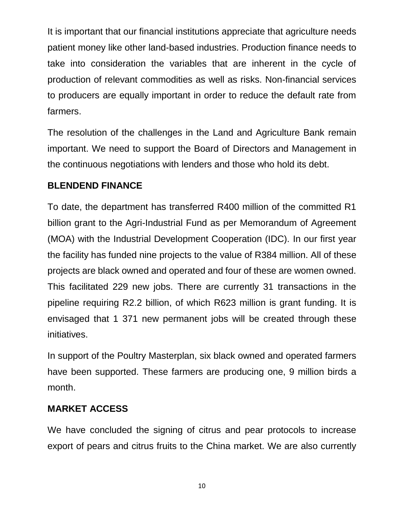It is important that our financial institutions appreciate that agriculture needs patient money like other land-based industries. Production finance needs to take into consideration the variables that are inherent in the cycle of production of relevant commodities as well as risks. Non-financial services to producers are equally important in order to reduce the default rate from farmers.

The resolution of the challenges in the Land and Agriculture Bank remain important. We need to support the Board of Directors and Management in the continuous negotiations with lenders and those who hold its debt.

#### **BLENDEND FINANCE**

To date, the department has transferred R400 million of the committed R1 billion grant to the Agri-Industrial Fund as per Memorandum of Agreement (MOA) with the Industrial Development Cooperation (IDC). In our first year the facility has funded nine projects to the value of R384 million. All of these projects are black owned and operated and four of these are women owned. This facilitated 229 new jobs. There are currently 31 transactions in the pipeline requiring R2.2 billion, of which R623 million is grant funding. It is envisaged that 1 371 new permanent jobs will be created through these initiatives.

In support of the Poultry Masterplan, six black owned and operated farmers have been supported. These farmers are producing one, 9 million birds a month.

#### **MARKET ACCESS**

We have concluded the signing of citrus and pear protocols to increase export of pears and citrus fruits to the China market. We are also currently